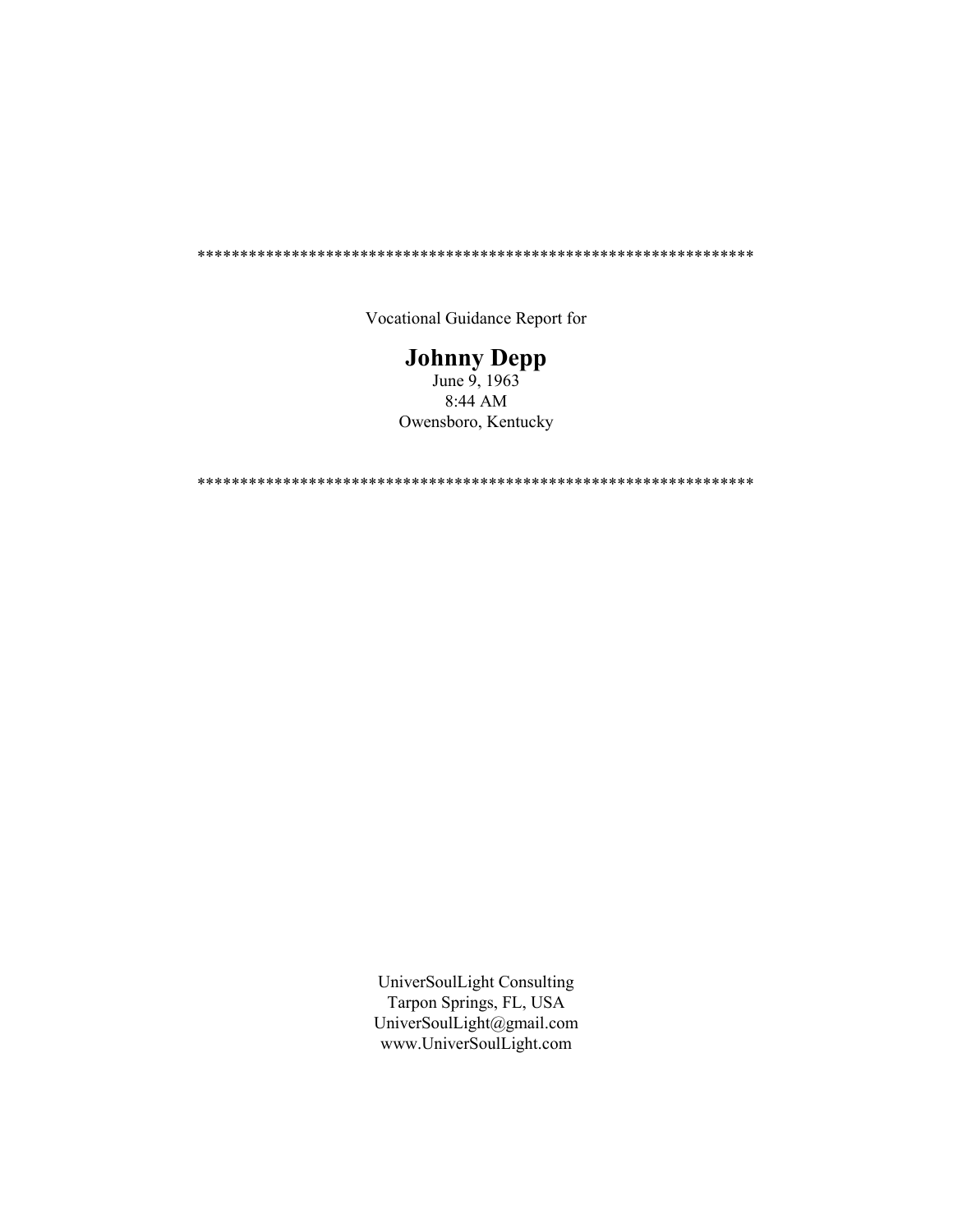\*\*\*\*\*\*\*\*\*\*\*\*\*\*\*\*\*\*\*\*\*\*\*\*\*\*\*\*\*\*\*\*\*\*\*\*\*\*\*\*\*\*\*\*\*\*\*\*\*\*\*\*\*\*\*\*\*\*\*\*\*\*\*\*\*

Vocational Guidance Report for

# Johnny Depp

June 9, 1963 8:44 AM Owensboro, Kentucky

\*\*\*\*\*\*\*\*\*\*\*\*\*\*\*\*\*\*\*\*\*\*\*\*\*\*\*\*\*\*\*\*\*\*\*\*\*\*\*\*\*\*\*\*\*\*\*\*\*\*\*\*\*\*\*\*\*\*\*\*\*\*\*\*\*

UniverSoulLight Consulting Tarpon Springs, FL, USA UniverSoulLight@gmail.com www.UniverSoulLight.com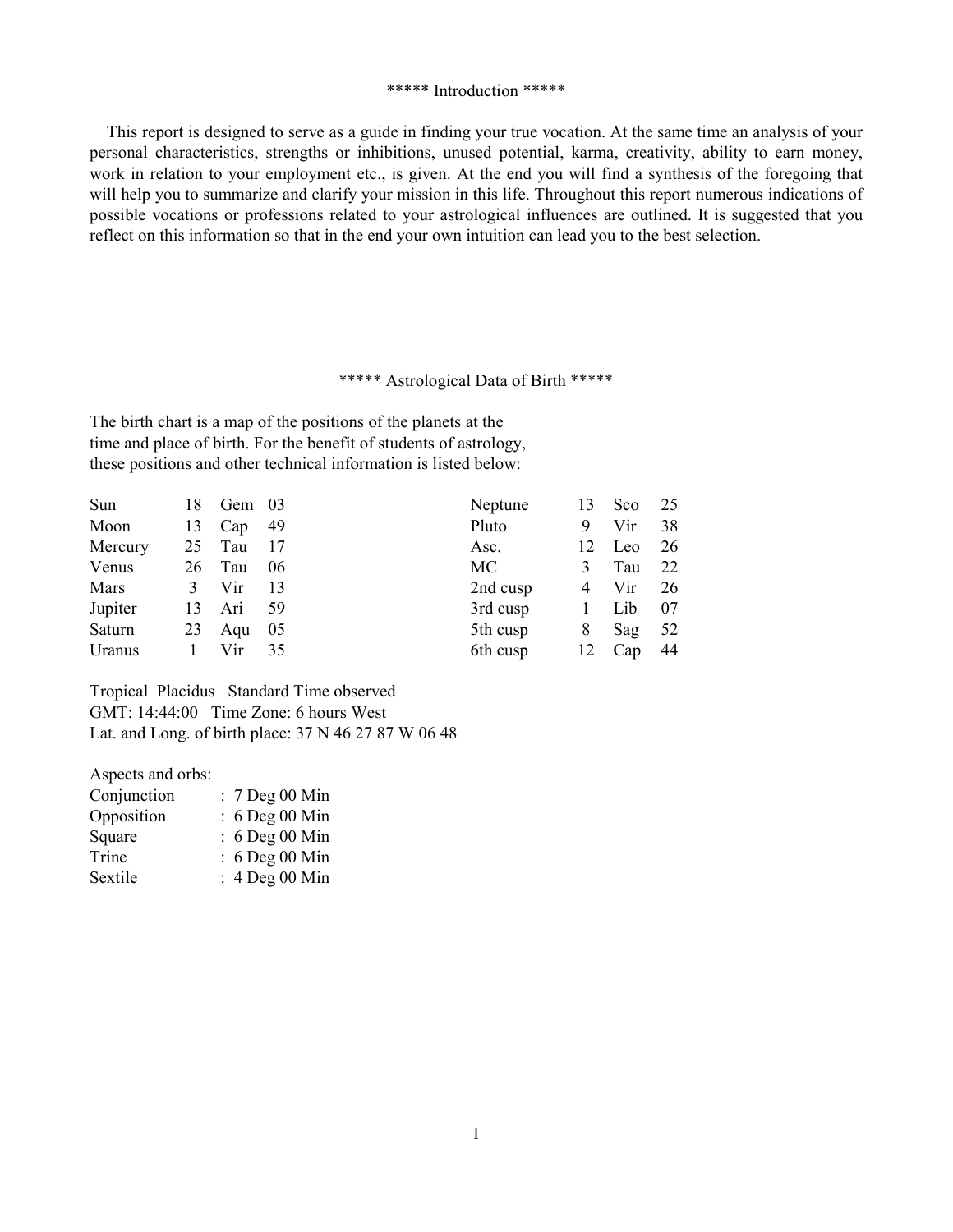### \*\*\*\*\* Introduction \*\*\*\*\*

This report is designed to serve as a guide in finding your true vocation. At the same time an analysis of your personal characteristics, strengths or inhibitions, unused potential, karma, creativity, ability to earn money, work in relation to your employment etc., is given. At the end you will find a synthesis of the foregoing that will help you to summarize and clarify your mission in this life. Throughout this report numerous indications of possible vocations or professions related to your astrological influences are outlined. It is suggested that you reflect on this information so that in the end your own intuition can lead you to the best selection.

## \*\*\*\*\* Astrological Data of Birth \*\*\*\*\*

The birth chart is a map of the positions of the planets at the time and place of birth. For the benefit of students of astrology, these positions and other technical information is listed below:

| Sun     | 18 | Gem 03   |      | Neptune  | 13 | Sco | 25   |
|---------|----|----------|------|----------|----|-----|------|
| Moon    | 13 | Cap $49$ |      | Pluto    | 9  | Vir | 38   |
| Mercury | 25 | Tau      | - 17 | Asc.     | 12 | Leo | 26   |
| Venus   |    | 26 Tau   | - 06 | MC       | 3  | Tau | 22   |
| Mars    | 3  | Vir      | 13   | 2nd cusp | 4  | Vir | 26   |
| Jupiter |    | 13 Ari   | -59  | 3rd cusp |    | Lib | 07   |
| Saturn  | 23 | Aqu 05   |      | 5th cusp | 8  | Sag | 52   |
| Uranus  |    | Vir      | 35   | 6th cusp | 12 | Cap | - 44 |

Tropical Placidus Standard Time observed GMT: 14:44:00 Time Zone: 6 hours West Lat. and Long. of birth place: 37 N 46 27 87 W 06 48

Aspects and orbs:

| Conjunction | $: 7$ Deg 00 Min |
|-------------|------------------|
| Opposition  | $: 6$ Deg 00 Min |
| Square      | $: 6$ Deg 00 Min |
| Trine       | : 6 Deg 00 Min   |
| Sextile     | : 4 Deg 00 Min   |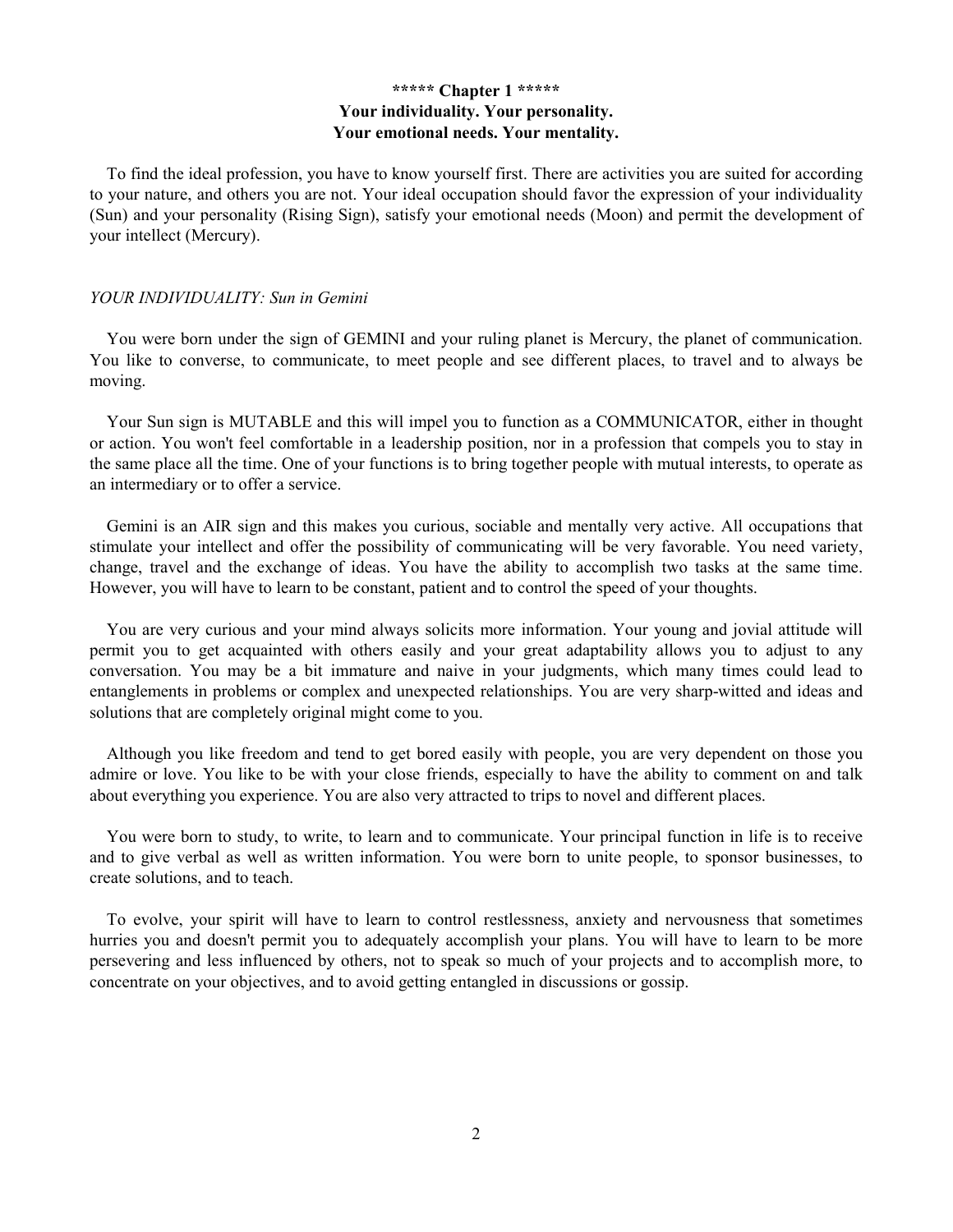# \*\*\*\*\* Chapter 1 \*\*\*\*\* Your individuality. Your personality. Your emotional needs. Your mentality.

To find the ideal profession, you have to know yourself first. There are activities you are suited for according to your nature, and others you are not. Your ideal occupation should favor the expression of your individuality (Sun) and your personality (Rising Sign), satisfy your emotional needs (Moon) and permit the development of your intellect (Mercury).

#### YOUR INDIVIDUALITY: Sun in Gemini

You were born under the sign of GEMINI and your ruling planet is Mercury, the planet of communication. You like to converse, to communicate, to meet people and see different places, to travel and to always be moving.

Your Sun sign is MUTABLE and this will impel you to function as a COMMUNICATOR, either in thought or action. You won't feel comfortable in a leadership position, nor in a profession that compels you to stay in the same place all the time. One of your functions is to bring together people with mutual interests, to operate as an intermediary or to offer a service.

Gemini is an AIR sign and this makes you curious, sociable and mentally very active. All occupations that stimulate your intellect and offer the possibility of communicating will be very favorable. You need variety, change, travel and the exchange of ideas. You have the ability to accomplish two tasks at the same time. However, you will have to learn to be constant, patient and to control the speed of your thoughts.

You are very curious and your mind always solicits more information. Your young and jovial attitude will permit you to get acquainted with others easily and your great adaptability allows you to adjust to any conversation. You may be a bit immature and naive in your judgments, which many times could lead to entanglements in problems or complex and unexpected relationships. You are very sharp-witted and ideas and solutions that are completely original might come to you.

Although you like freedom and tend to get bored easily with people, you are very dependent on those you admire or love. You like to be with your close friends, especially to have the ability to comment on and talk about everything you experience. You are also very attracted to trips to novel and different places.

You were born to study, to write, to learn and to communicate. Your principal function in life is to receive and to give verbal as well as written information. You were born to unite people, to sponsor businesses, to create solutions, and to teach.

To evolve, your spirit will have to learn to control restlessness, anxiety and nervousness that sometimes hurries you and doesn't permit you to adequately accomplish your plans. You will have to learn to be more persevering and less influenced by others, not to speak so much of your projects and to accomplish more, to concentrate on your objectives, and to avoid getting entangled in discussions or gossip.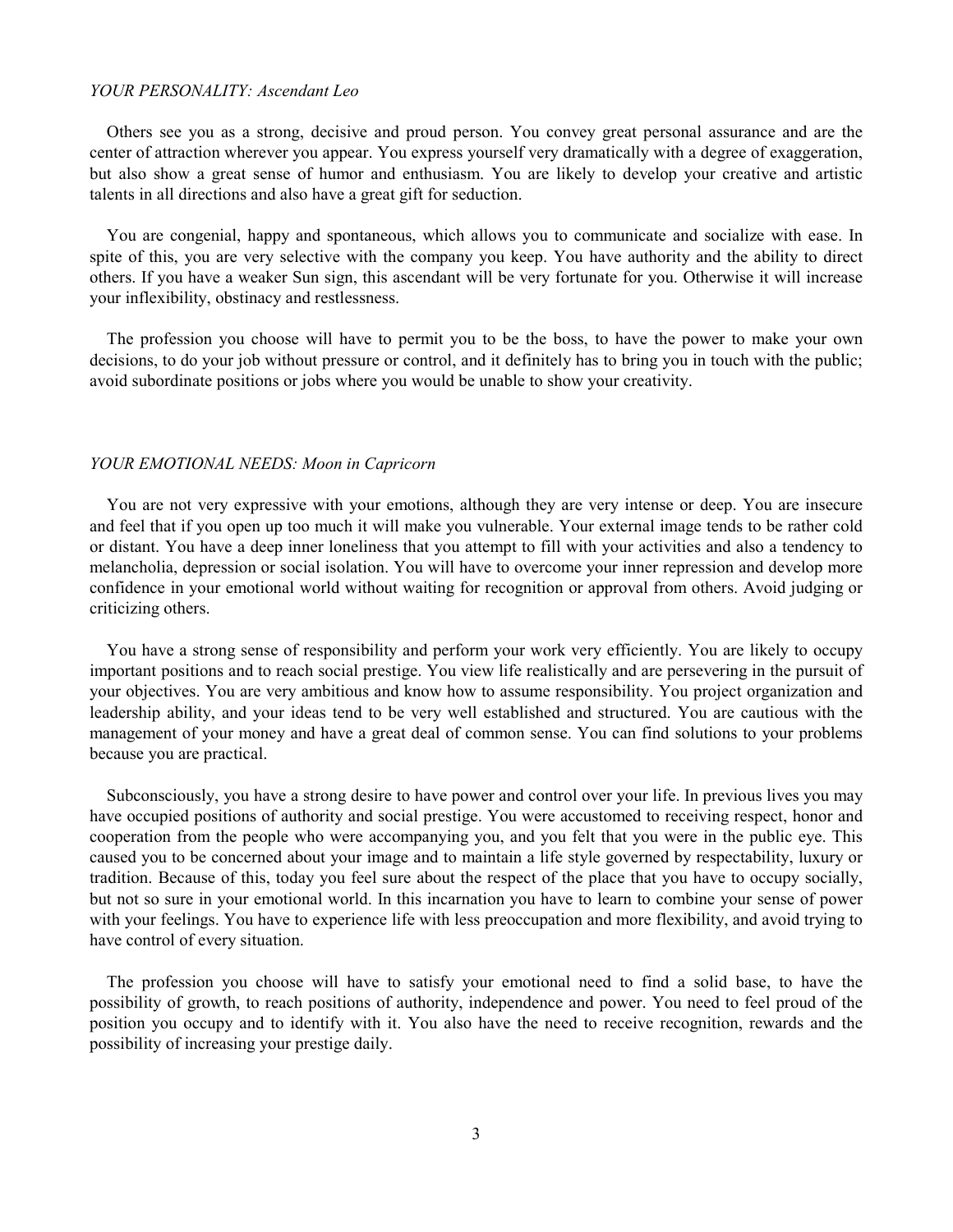#### YOUR PERSONALITY: Ascendant Leo

Others see you as a strong, decisive and proud person. You convey great personal assurance and are the center of attraction wherever you appear. You express yourself very dramatically with a degree of exaggeration, but also show a great sense of humor and enthusiasm. You are likely to develop your creative and artistic talents in all directions and also have a great gift for seduction.

You are congenial, happy and spontaneous, which allows you to communicate and socialize with ease. In spite of this, you are very selective with the company you keep. You have authority and the ability to direct others. If you have a weaker Sun sign, this ascendant will be very fortunate for you. Otherwise it will increase your inflexibility, obstinacy and restlessness.

The profession you choose will have to permit you to be the boss, to have the power to make your own decisions, to do your job without pressure or control, and it definitely has to bring you in touch with the public; avoid subordinate positions or jobs where you would be unable to show your creativity.

#### YOUR EMOTIONAL NEEDS: Moon in Capricorn

You are not very expressive with your emotions, although they are very intense or deep. You are insecure and feel that if you open up too much it will make you vulnerable. Your external image tends to be rather cold or distant. You have a deep inner loneliness that you attempt to fill with your activities and also a tendency to melancholia, depression or social isolation. You will have to overcome your inner repression and develop more confidence in your emotional world without waiting for recognition or approval from others. Avoid judging or criticizing others.

You have a strong sense of responsibility and perform your work very efficiently. You are likely to occupy important positions and to reach social prestige. You view life realistically and are persevering in the pursuit of your objectives. You are very ambitious and know how to assume responsibility. You project organization and leadership ability, and your ideas tend to be very well established and structured. You are cautious with the management of your money and have a great deal of common sense. You can find solutions to your problems because you are practical.

Subconsciously, you have a strong desire to have power and control over your life. In previous lives you may have occupied positions of authority and social prestige. You were accustomed to receiving respect, honor and cooperation from the people who were accompanying you, and you felt that you were in the public eye. This caused you to be concerned about your image and to maintain a life style governed by respectability, luxury or tradition. Because of this, today you feel sure about the respect of the place that you have to occupy socially, but not so sure in your emotional world. In this incarnation you have to learn to combine your sense of power with your feelings. You have to experience life with less preoccupation and more flexibility, and avoid trying to have control of every situation.

The profession you choose will have to satisfy your emotional need to find a solid base, to have the possibility of growth, to reach positions of authority, independence and power. You need to feel proud of the position you occupy and to identify with it. You also have the need to receive recognition, rewards and the possibility of increasing your prestige daily.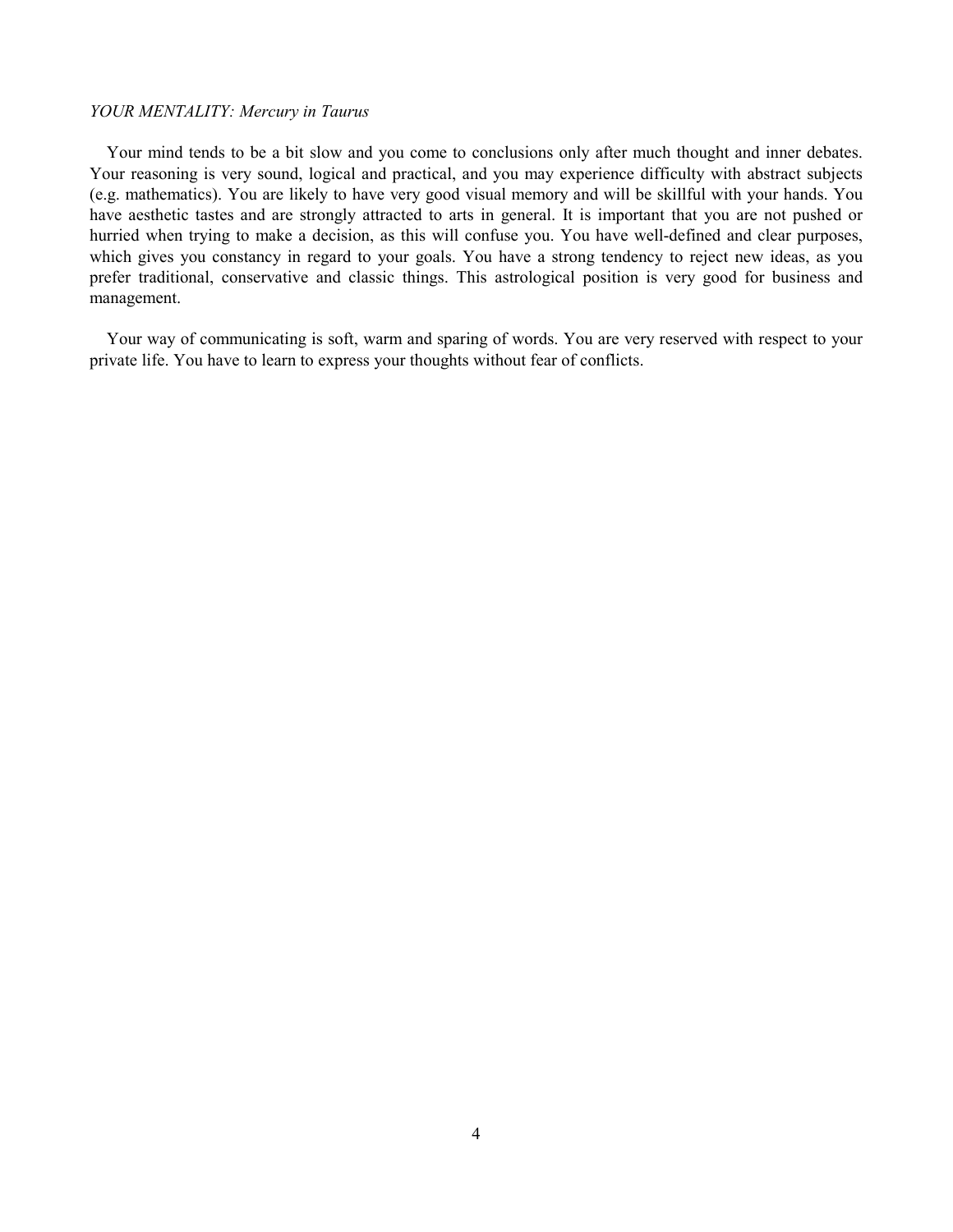# YOUR MENTALITY: Mercury in Taurus

Your mind tends to be a bit slow and you come to conclusions only after much thought and inner debates. Your reasoning is very sound, logical and practical, and you may experience difficulty with abstract subjects (e.g. mathematics). You are likely to have very good visual memory and will be skillful with your hands. You have aesthetic tastes and are strongly attracted to arts in general. It is important that you are not pushed or hurried when trying to make a decision, as this will confuse you. You have well-defined and clear purposes, which gives you constancy in regard to your goals. You have a strong tendency to reject new ideas, as you prefer traditional, conservative and classic things. This astrological position is very good for business and management.

Your way of communicating is soft, warm and sparing of words. You are very reserved with respect to your private life. You have to learn to express your thoughts without fear of conflicts.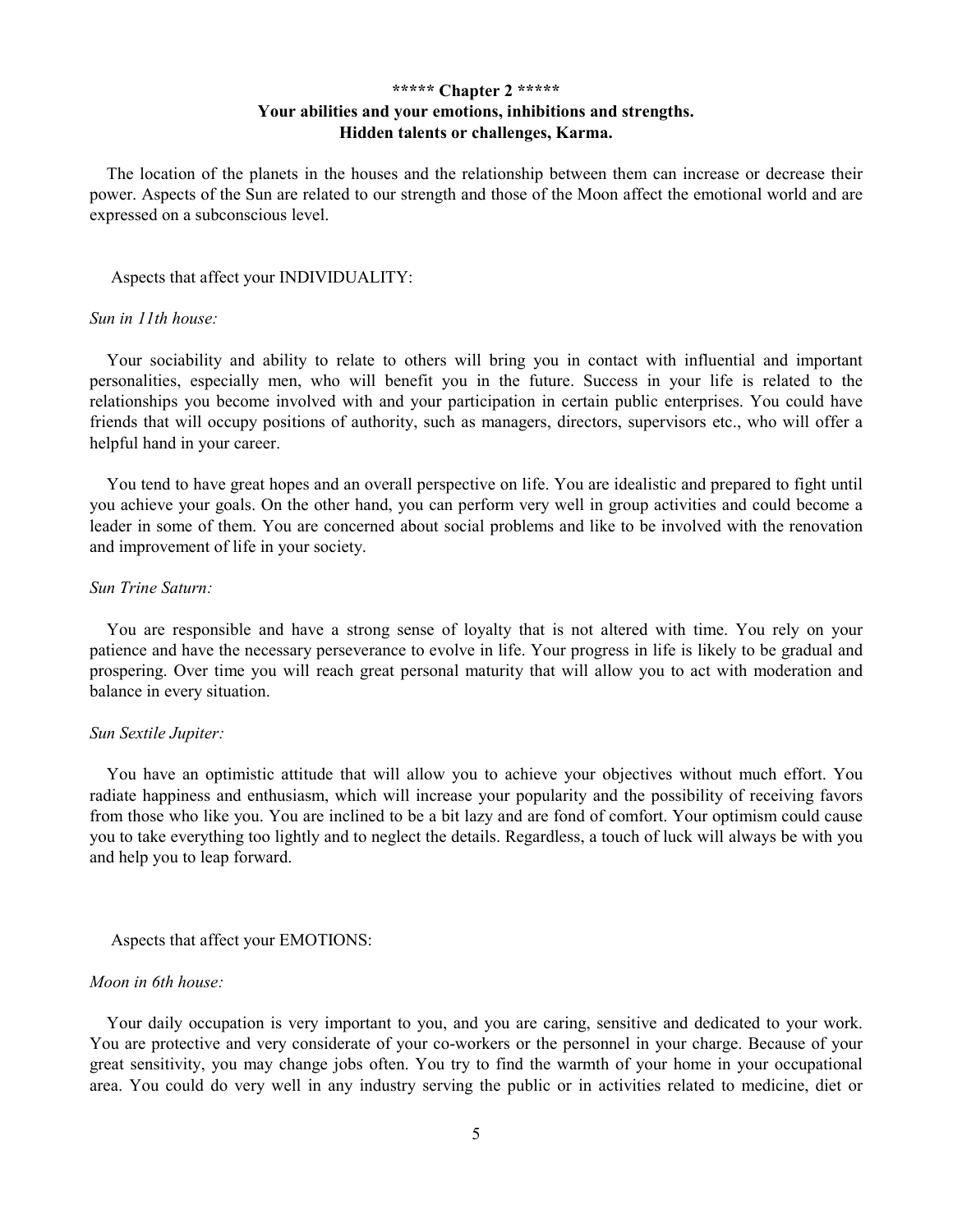# \*\*\*\*\* Chapter 2 \*\*\*\*\* Your abilities and your emotions, inhibitions and strengths. Hidden talents or challenges, Karma.

The location of the planets in the houses and the relationship between them can increase or decrease their power. Aspects of the Sun are related to our strength and those of the Moon affect the emotional world and are expressed on a subconscious level.

#### Aspects that affect your INDIVIDUALITY:

#### Sun in 11th house:

Your sociability and ability to relate to others will bring you in contact with influential and important personalities, especially men, who will benefit you in the future. Success in your life is related to the relationships you become involved with and your participation in certain public enterprises. You could have friends that will occupy positions of authority, such as managers, directors, supervisors etc., who will offer a helpful hand in your career.

You tend to have great hopes and an overall perspective on life. You are idealistic and prepared to fight until you achieve your goals. On the other hand, you can perform very well in group activities and could become a leader in some of them. You are concerned about social problems and like to be involved with the renovation and improvement of life in your society.

#### Sun Trine Saturn:

You are responsible and have a strong sense of loyalty that is not altered with time. You rely on your patience and have the necessary perseverance to evolve in life. Your progress in life is likely to be gradual and prospering. Over time you will reach great personal maturity that will allow you to act with moderation and balance in every situation.

#### Sun Sextile Jupiter:

You have an optimistic attitude that will allow you to achieve your objectives without much effort. You radiate happiness and enthusiasm, which will increase your popularity and the possibility of receiving favors from those who like you. You are inclined to be a bit lazy and are fond of comfort. Your optimism could cause you to take everything too lightly and to neglect the details. Regardless, a touch of luck will always be with you and help you to leap forward.

#### Aspects that affect your EMOTIONS:

#### Moon in 6th house:

Your daily occupation is very important to you, and you are caring, sensitive and dedicated to your work. You are protective and very considerate of your co-workers or the personnel in your charge. Because of your great sensitivity, you may change jobs often. You try to find the warmth of your home in your occupational area. You could do very well in any industry serving the public or in activities related to medicine, diet or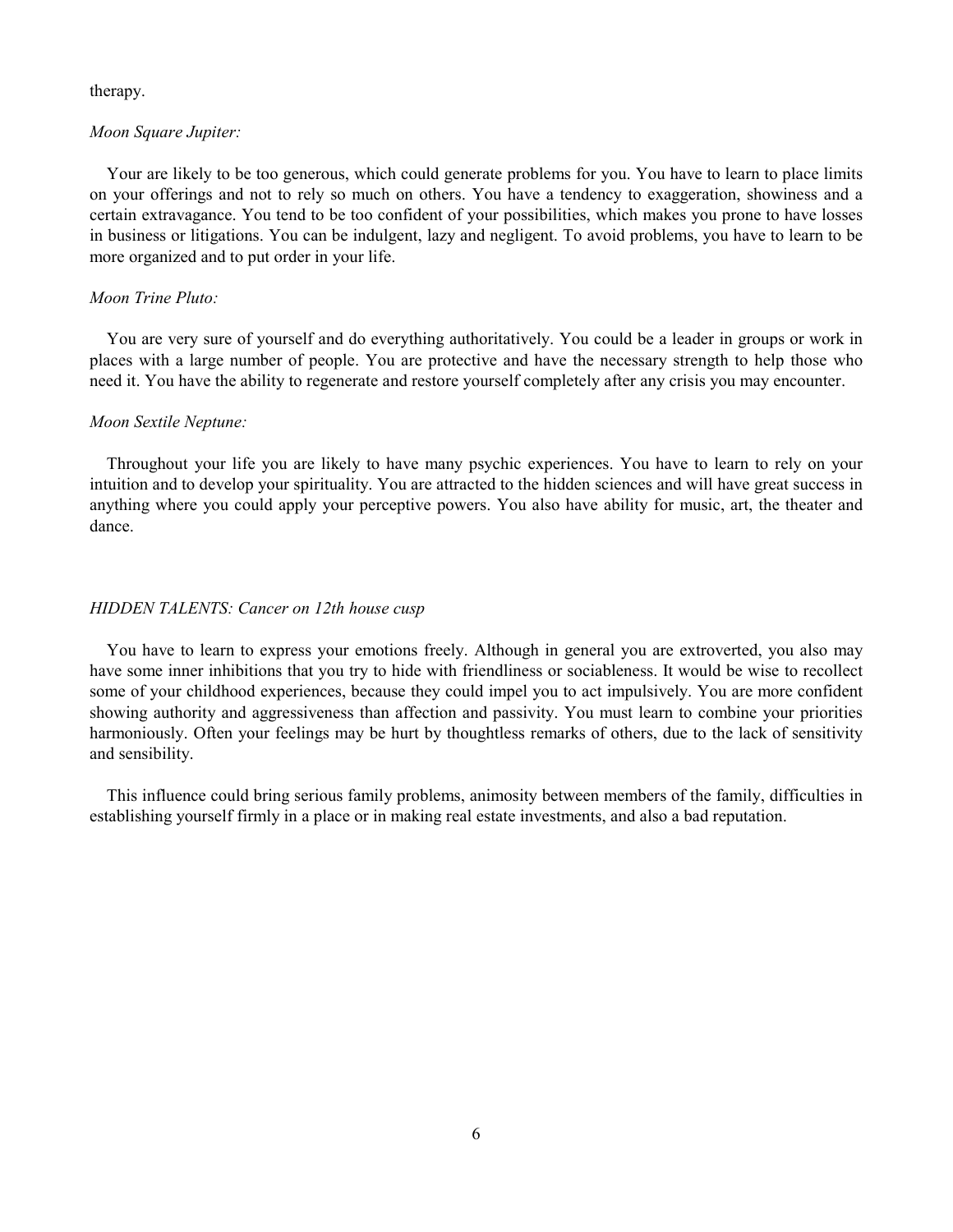#### therapy.

### Moon Square Jupiter:

Your are likely to be too generous, which could generate problems for you. You have to learn to place limits on your offerings and not to rely so much on others. You have a tendency to exaggeration, showiness and a certain extravagance. You tend to be too confident of your possibilities, which makes you prone to have losses in business or litigations. You can be indulgent, lazy and negligent. To avoid problems, you have to learn to be more organized and to put order in your life.

### Moon Trine Pluto:

You are very sure of yourself and do everything authoritatively. You could be a leader in groups or work in places with a large number of people. You are protective and have the necessary strength to help those who need it. You have the ability to regenerate and restore yourself completely after any crisis you may encounter.

### Moon Sextile Neptune:

Throughout your life you are likely to have many psychic experiences. You have to learn to rely on your intuition and to develop your spirituality. You are attracted to the hidden sciences and will have great success in anything where you could apply your perceptive powers. You also have ability for music, art, the theater and dance.

#### HIDDEN TALENTS: Cancer on 12th house cusp

You have to learn to express your emotions freely. Although in general you are extroverted, you also may have some inner inhibitions that you try to hide with friendliness or sociableness. It would be wise to recollect some of your childhood experiences, because they could impel you to act impulsively. You are more confident showing authority and aggressiveness than affection and passivity. You must learn to combine your priorities harmoniously. Often your feelings may be hurt by thoughtless remarks of others, due to the lack of sensitivity and sensibility.

This influence could bring serious family problems, animosity between members of the family, difficulties in establishing yourself firmly in a place or in making real estate investments, and also a bad reputation.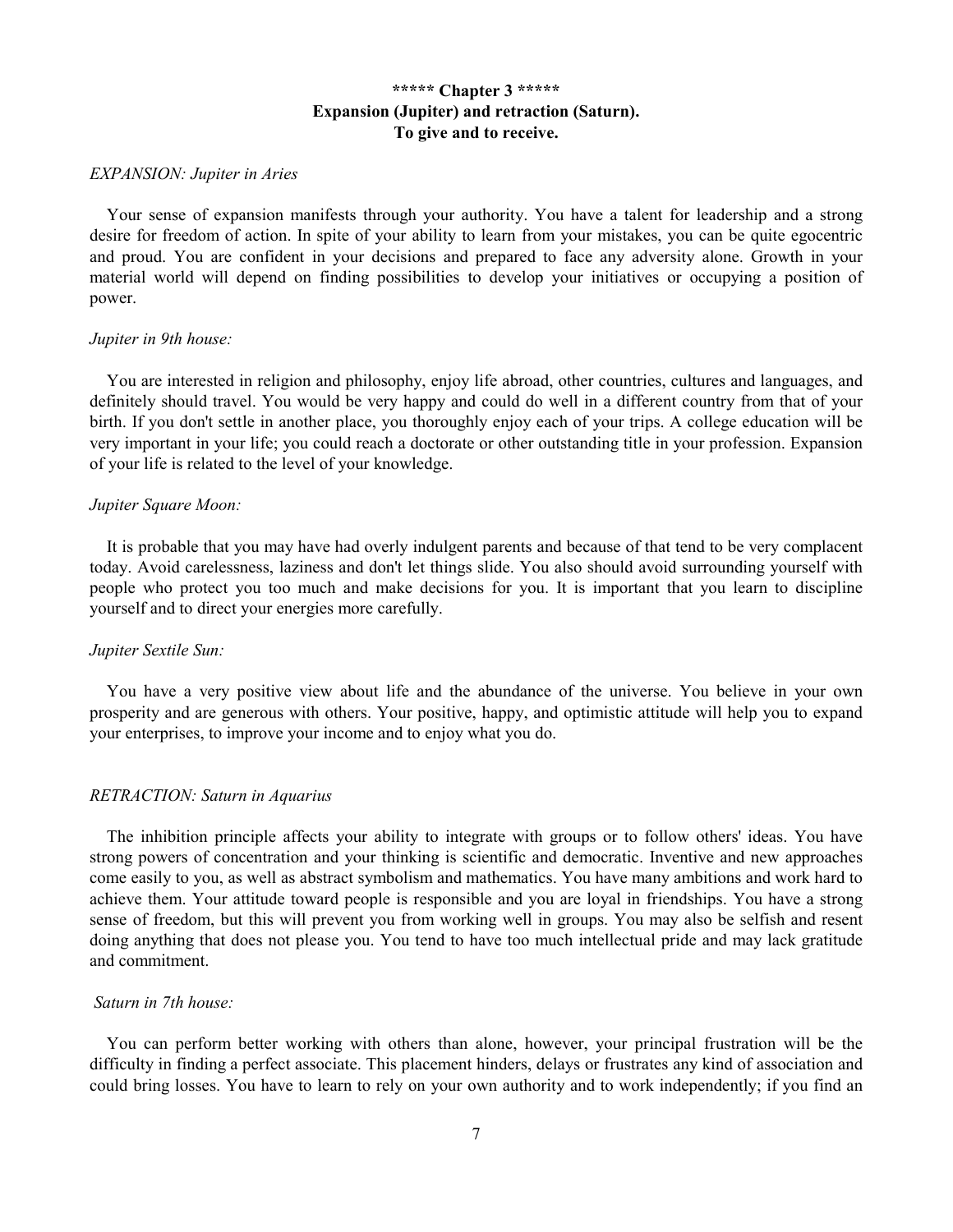# \*\*\*\*\* Chapter 3 \*\*\*\*\* Expansion (Jupiter) and retraction (Saturn). To give and to receive.

#### EXPANSION: Jupiter in Aries

Your sense of expansion manifests through your authority. You have a talent for leadership and a strong desire for freedom of action. In spite of your ability to learn from your mistakes, you can be quite egocentric and proud. You are confident in your decisions and prepared to face any adversity alone. Growth in your material world will depend on finding possibilities to develop your initiatives or occupying a position of power.

#### Jupiter in 9th house:

You are interested in religion and philosophy, enjoy life abroad, other countries, cultures and languages, and definitely should travel. You would be very happy and could do well in a different country from that of your birth. If you don't settle in another place, you thoroughly enjoy each of your trips. A college education will be very important in your life; you could reach a doctorate or other outstanding title in your profession. Expansion of your life is related to the level of your knowledge.

### Jupiter Square Moon:

It is probable that you may have had overly indulgent parents and because of that tend to be very complacent today. Avoid carelessness, laziness and don't let things slide. You also should avoid surrounding yourself with people who protect you too much and make decisions for you. It is important that you learn to discipline yourself and to direct your energies more carefully.

### Jupiter Sextile Sun:

You have a very positive view about life and the abundance of the universe. You believe in your own prosperity and are generous with others. Your positive, happy, and optimistic attitude will help you to expand your enterprises, to improve your income and to enjoy what you do.

#### RETRACTION: Saturn in Aquarius

The inhibition principle affects your ability to integrate with groups or to follow others' ideas. You have strong powers of concentration and your thinking is scientific and democratic. Inventive and new approaches come easily to you, as well as abstract symbolism and mathematics. You have many ambitions and work hard to achieve them. Your attitude toward people is responsible and you are loyal in friendships. You have a strong sense of freedom, but this will prevent you from working well in groups. You may also be selfish and resent doing anything that does not please you. You tend to have too much intellectual pride and may lack gratitude and commitment.

### Saturn in 7th house:

You can perform better working with others than alone, however, your principal frustration will be the difficulty in finding a perfect associate. This placement hinders, delays or frustrates any kind of association and could bring losses. You have to learn to rely on your own authority and to work independently; if you find an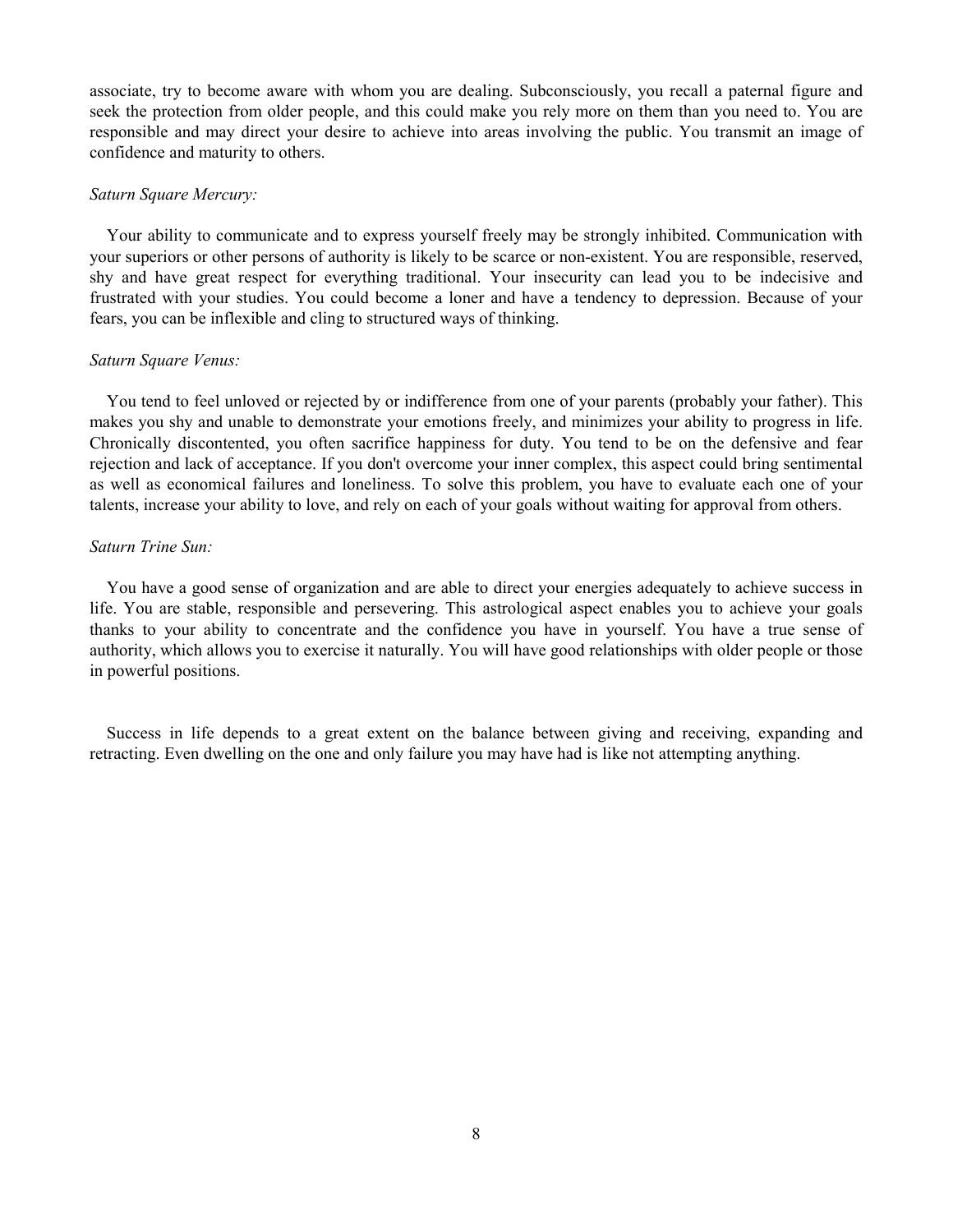associate, try to become aware with whom you are dealing. Subconsciously, you recall a paternal figure and seek the protection from older people, and this could make you rely more on them than you need to. You are responsible and may direct your desire to achieve into areas involving the public. You transmit an image of confidence and maturity to others.

### Saturn Square Mercury:

Your ability to communicate and to express yourself freely may be strongly inhibited. Communication with your superiors or other persons of authority is likely to be scarce or non-existent. You are responsible, reserved, shy and have great respect for everything traditional. Your insecurity can lead you to be indecisive and frustrated with your studies. You could become a loner and have a tendency to depression. Because of your fears, you can be inflexible and cling to structured ways of thinking.

### Saturn Square Venus:

You tend to feel unloved or rejected by or indifference from one of your parents (probably your father). This makes you shy and unable to demonstrate your emotions freely, and minimizes your ability to progress in life. Chronically discontented, you often sacrifice happiness for duty. You tend to be on the defensive and fear rejection and lack of acceptance. If you don't overcome your inner complex, this aspect could bring sentimental as well as economical failures and loneliness. To solve this problem, you have to evaluate each one of your talents, increase your ability to love, and rely on each of your goals without waiting for approval from others.

### Saturn Trine Sun:

You have a good sense of organization and are able to direct your energies adequately to achieve success in life. You are stable, responsible and persevering. This astrological aspect enables you to achieve your goals thanks to your ability to concentrate and the confidence you have in yourself. You have a true sense of authority, which allows you to exercise it naturally. You will have good relationships with older people or those in powerful positions.

Success in life depends to a great extent on the balance between giving and receiving, expanding and retracting. Even dwelling on the one and only failure you may have had is like not attempting anything.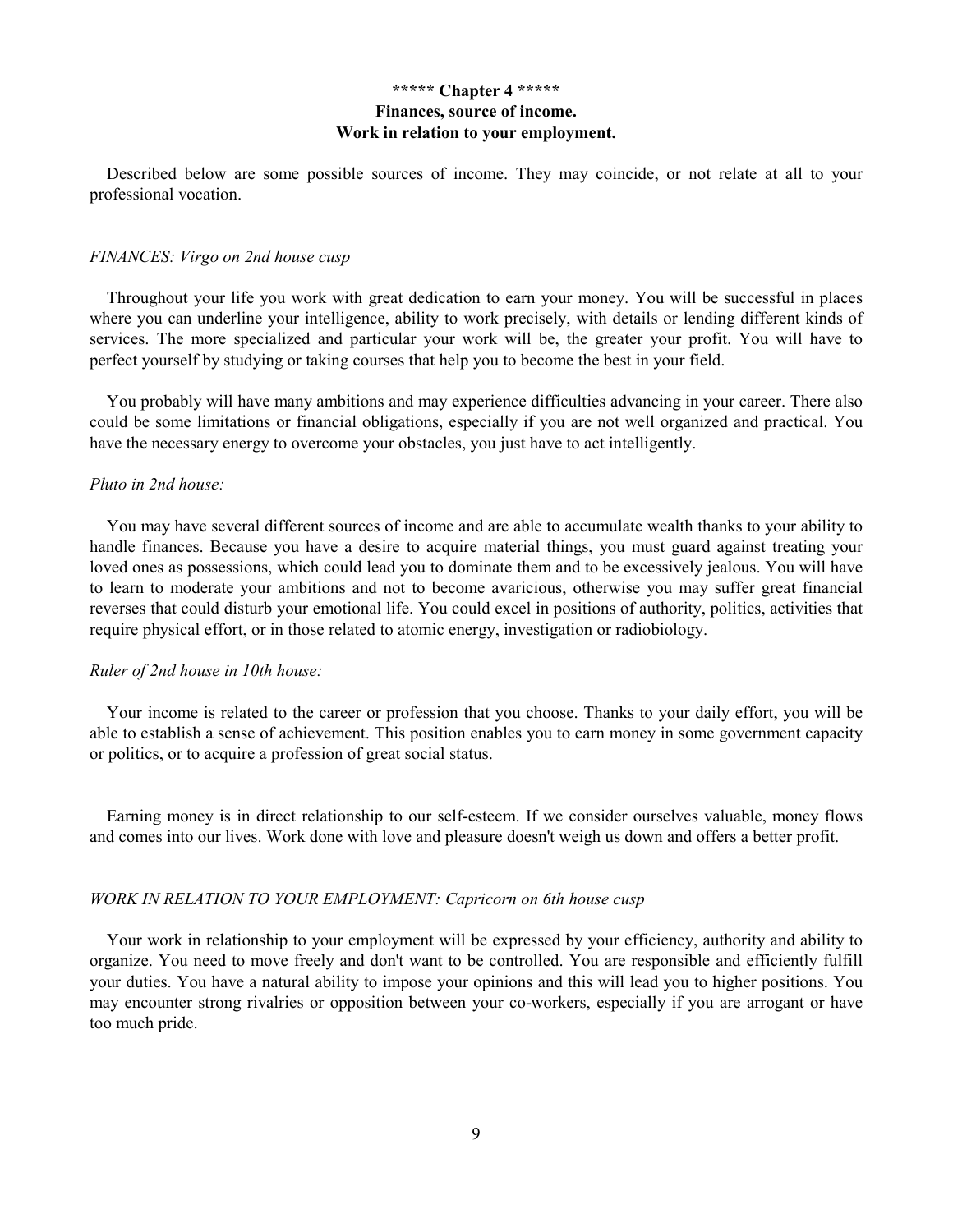# \*\*\*\*\* Chapter 4 \*\*\*\*\* Finances, source of income. Work in relation to your employment.

Described below are some possible sources of income. They may coincide, or not relate at all to your professional vocation.

#### FINANCES: Virgo on 2nd house cusp

Throughout your life you work with great dedication to earn your money. You will be successful in places where you can underline your intelligence, ability to work precisely, with details or lending different kinds of services. The more specialized and particular your work will be, the greater your profit. You will have to perfect yourself by studying or taking courses that help you to become the best in your field.

You probably will have many ambitions and may experience difficulties advancing in your career. There also could be some limitations or financial obligations, especially if you are not well organized and practical. You have the necessary energy to overcome your obstacles, you just have to act intelligently.

#### Pluto in 2nd house:

You may have several different sources of income and are able to accumulate wealth thanks to your ability to handle finances. Because you have a desire to acquire material things, you must guard against treating your loved ones as possessions, which could lead you to dominate them and to be excessively jealous. You will have to learn to moderate your ambitions and not to become avaricious, otherwise you may suffer great financial reverses that could disturb your emotional life. You could excel in positions of authority, politics, activities that require physical effort, or in those related to atomic energy, investigation or radiobiology.

### Ruler of 2nd house in 10th house:

Your income is related to the career or profession that you choose. Thanks to your daily effort, you will be able to establish a sense of achievement. This position enables you to earn money in some government capacity or politics, or to acquire a profession of great social status.

Earning money is in direct relationship to our self-esteem. If we consider ourselves valuable, money flows and comes into our lives. Work done with love and pleasure doesn't weigh us down and offers a better profit.

## WORK IN RELATION TO YOUR EMPLOYMENT: Capricorn on 6th house cusp

Your work in relationship to your employment will be expressed by your efficiency, authority and ability to organize. You need to move freely and don't want to be controlled. You are responsible and efficiently fulfill your duties. You have a natural ability to impose your opinions and this will lead you to higher positions. You may encounter strong rivalries or opposition between your co-workers, especially if you are arrogant or have too much pride.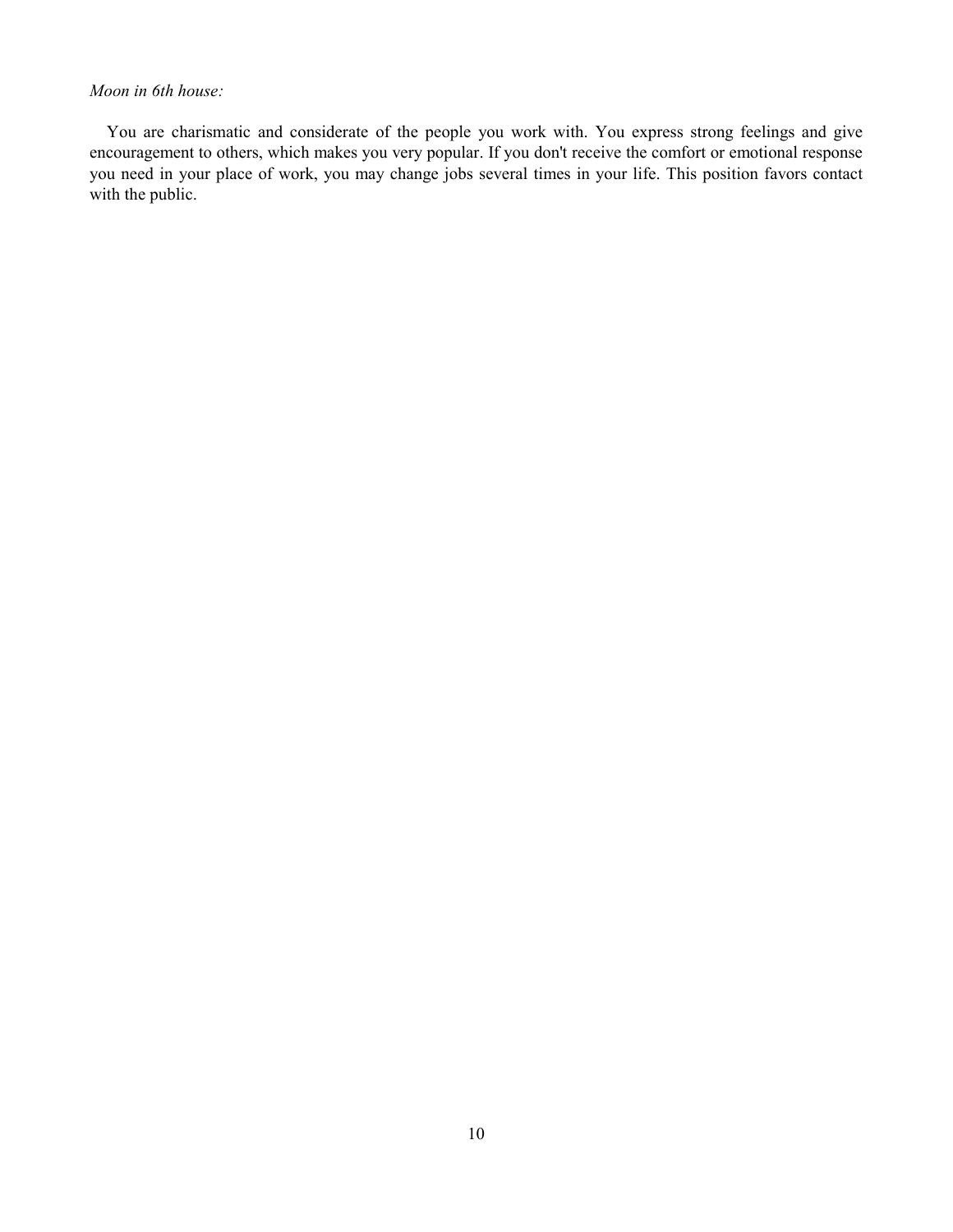# Moon in 6th house:

You are charismatic and considerate of the people you work with. You express strong feelings and give encouragement to others, which makes you very popular. If you don't receive the comfort or emotional response you need in your place of work, you may change jobs several times in your life. This position favors contact with the public.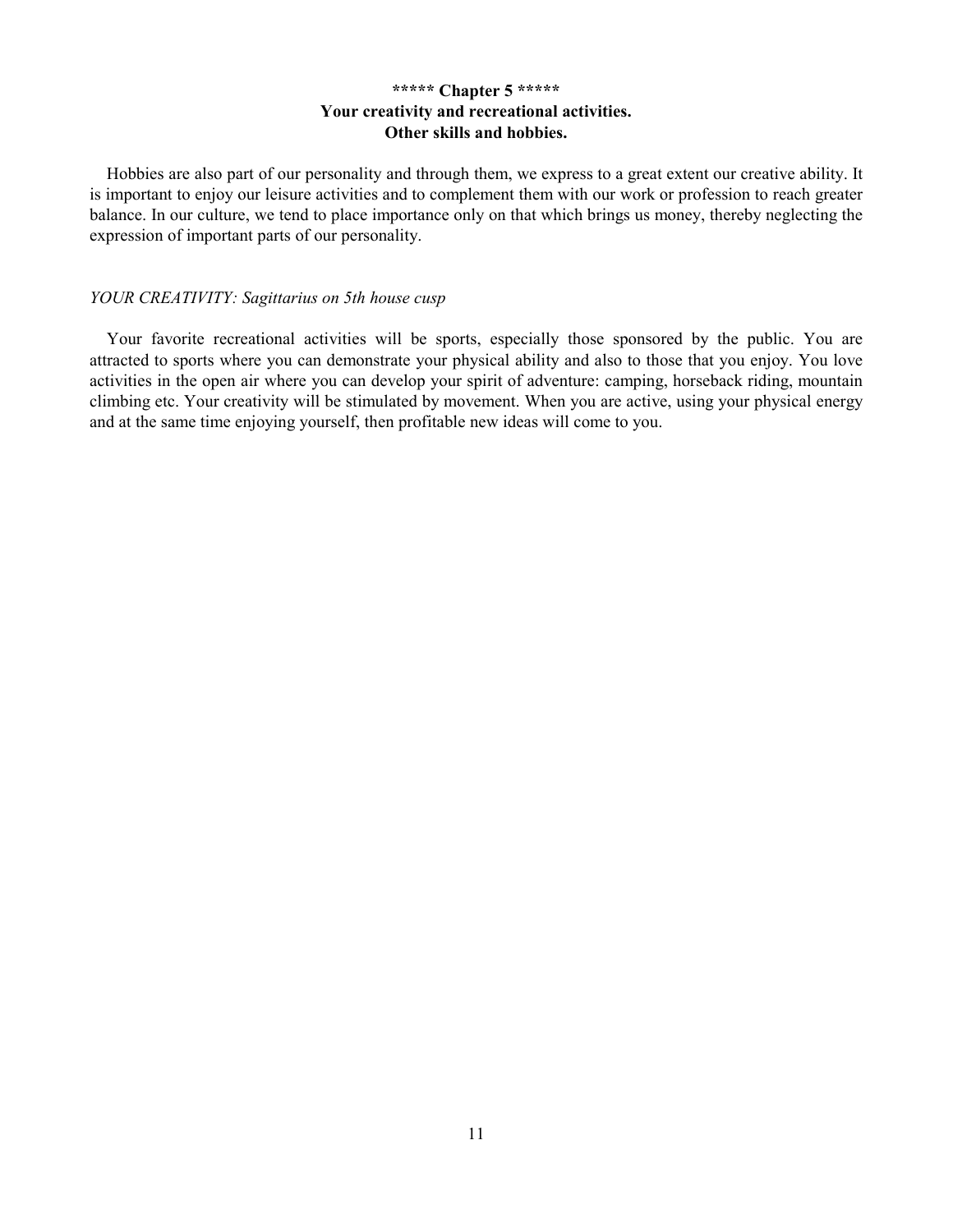# \*\*\*\*\* Chapter 5 \*\*\*\*\* Your creativity and recreational activities. Other skills and hobbies.

Hobbies are also part of our personality and through them, we express to a great extent our creative ability. It is important to enjoy our leisure activities and to complement them with our work or profession to reach greater balance. In our culture, we tend to place importance only on that which brings us money, thereby neglecting the expression of important parts of our personality.

### YOUR CREATIVITY: Sagittarius on 5th house cusp

Your favorite recreational activities will be sports, especially those sponsored by the public. You are attracted to sports where you can demonstrate your physical ability and also to those that you enjoy. You love activities in the open air where you can develop your spirit of adventure: camping, horseback riding, mountain climbing etc. Your creativity will be stimulated by movement. When you are active, using your physical energy and at the same time enjoying yourself, then profitable new ideas will come to you.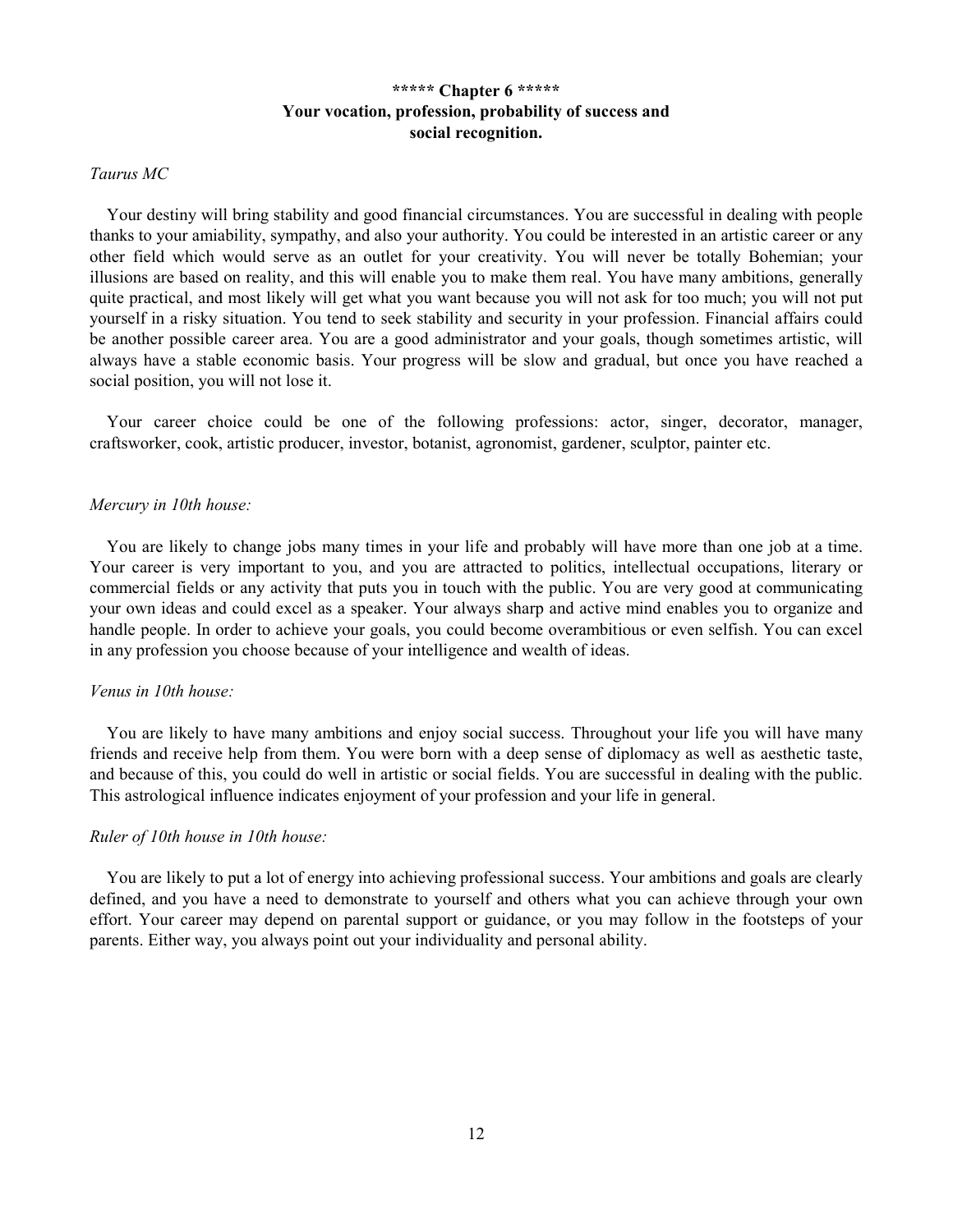# \*\*\*\*\* Chapter 6 \*\*\*\*\* Your vocation, profession, probability of success and social recognition.

# Taurus MC

Your destiny will bring stability and good financial circumstances. You are successful in dealing with people thanks to your amiability, sympathy, and also your authority. You could be interested in an artistic career or any other field which would serve as an outlet for your creativity. You will never be totally Bohemian; your illusions are based on reality, and this will enable you to make them real. You have many ambitions, generally quite practical, and most likely will get what you want because you will not ask for too much; you will not put yourself in a risky situation. You tend to seek stability and security in your profession. Financial affairs could be another possible career area. You are a good administrator and your goals, though sometimes artistic, will always have a stable economic basis. Your progress will be slow and gradual, but once you have reached a social position, you will not lose it.

Your career choice could be one of the following professions: actor, singer, decorator, manager, craftsworker, cook, artistic producer, investor, botanist, agronomist, gardener, sculptor, painter etc.

### Mercury in 10th house:

You are likely to change jobs many times in your life and probably will have more than one job at a time. Your career is very important to you, and you are attracted to politics, intellectual occupations, literary or commercial fields or any activity that puts you in touch with the public. You are very good at communicating your own ideas and could excel as a speaker. Your always sharp and active mind enables you to organize and handle people. In order to achieve your goals, you could become overambitious or even selfish. You can excel in any profession you choose because of your intelligence and wealth of ideas.

# Venus in 10th house:

You are likely to have many ambitions and enjoy social success. Throughout your life you will have many friends and receive help from them. You were born with a deep sense of diplomacy as well as aesthetic taste, and because of this, you could do well in artistic or social fields. You are successful in dealing with the public. This astrological influence indicates enjoyment of your profession and your life in general.

#### Ruler of 10th house in 10th house:

You are likely to put a lot of energy into achieving professional success. Your ambitions and goals are clearly defined, and you have a need to demonstrate to yourself and others what you can achieve through your own effort. Your career may depend on parental support or guidance, or you may follow in the footsteps of your parents. Either way, you always point out your individuality and personal ability.